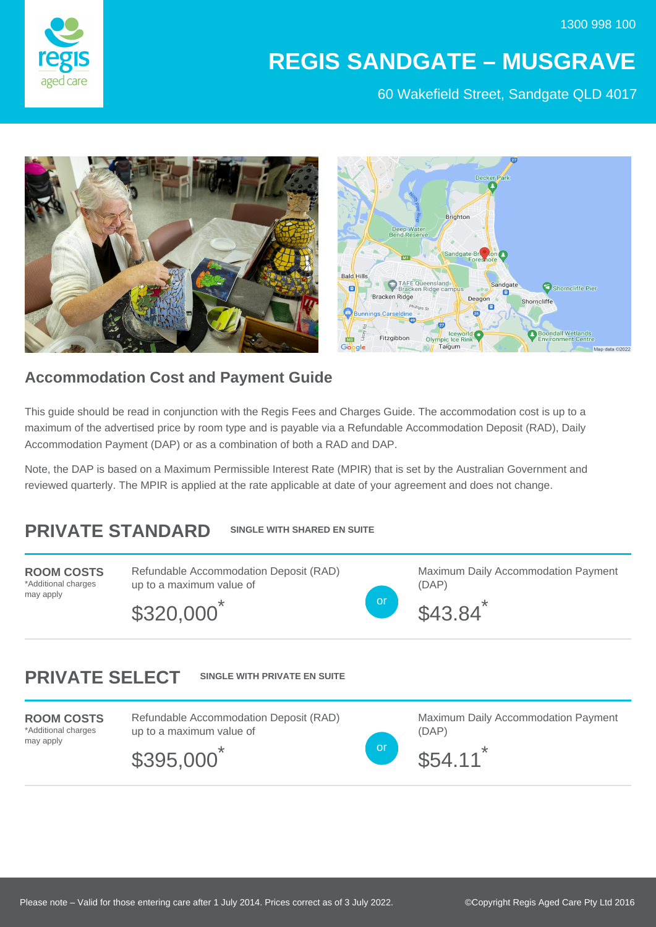

## **REGIS SANDGATE – MUSGRAVE**

60 Wakefield Street, Sandgate QLD 4017



## **Accommodation Cost and Payment Guide**

This guide should be read in conjunction with the Regis Fees and Charges Guide. The accommodation cost is up to a maximum of the advertised price by room type and is payable via a Refundable Accommodation Deposit (RAD), Daily Accommodation Payment (DAP) or as a combination of both a RAD and DAP.

Note, the DAP is based on a Maximum Permissible Interest Rate (MPIR) that is set by the Australian Government and reviewed quarterly. The MPIR is applied at the rate applicable at date of your agreement and does not change.

## **PRIVATE STANDARD SINGLE WITH SHARED EN SUITE**